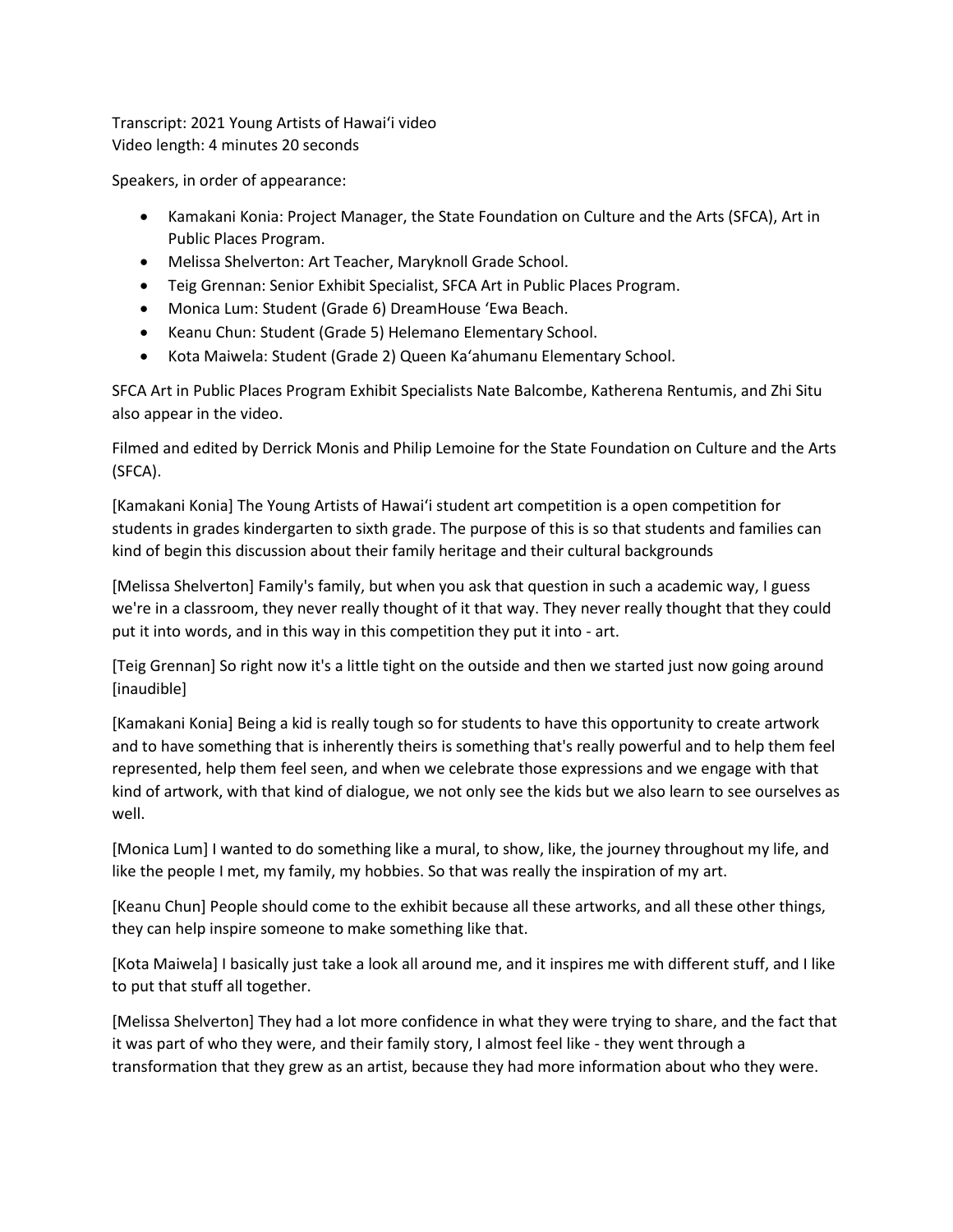Transcript: 2021 Young Artists of Hawaiʻi video Video length: 4 minutes 20 seconds

Speakers, in order of appearance:

- Kamakani Konia: Project Manager, the State Foundation on Culture and the Arts (SFCA), Art in Public Places Program.
- Melissa Shelverton: Art Teacher, Maryknoll Grade School.
- Teig Grennan: Senior Exhibit Specialist, SFCA Art in Public Places Program.
- Monica Lum: Student (Grade 6) DreamHouse 'Ewa Beach.
- Keanu Chun: Student (Grade 5) Helemano Elementary School.
- Kota Maiwela: Student (Grade 2) Queen Kaʻahumanu Elementary School.

SFCA Art in Public Places Program Exhibit Specialists Nate Balcombe, Katherena Rentumis, and Zhi Situ also appear in the video.

Filmed and edited by Derrick Monis and Philip Lemoine for the State Foundation on Culture and the Arts (SFCA).

[Kamakani Konia] The Young Artists of Hawaiʻi student art competition is a open competition for students in grades kindergarten to sixth grade. The purpose of this is so that students and families can kind of begin this discussion about their family heritage and their cultural backgrounds

[Melissa Shelverton] Family's family, but when you ask that question in such a academic way, I guess we're in a classroom, they never really thought of it that way. They never really thought that they could put it into words, and in this way in this competition they put it into - art.

[Teig Grennan] So right now it's a little tight on the outside and then we started just now going around [inaudible]

[Kamakani Konia] Being a kid is really tough so for students to have this opportunity to create artwork and to have something that is inherently theirs is something that's really powerful and to help them feel represented, help them feel seen, and when we celebrate those expressions and we engage with that kind of artwork, with that kind of dialogue, we not only see the kids but we also learn to see ourselves as well.

[Monica Lum] I wanted to do something like a mural, to show, like, the journey throughout my life, and like the people I met, my family, my hobbies. So that was really the inspiration of my art.

[Keanu Chun] People should come to the exhibit because all these artworks, and all these other things, they can help inspire someone to make something like that.

[Kota Maiwela] I basically just take a look all around me, and it inspires me with different stuff, and I like to put that stuff all together.

[Melissa Shelverton] They had a lot more confidence in what they were trying to share, and the fact that it was part of who they were, and their family story, I almost feel like - they went through a transformation that they grew as an artist, because they had more information about who they were.